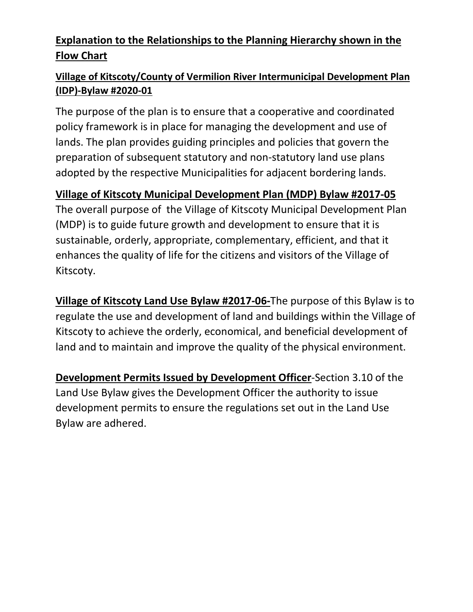## **Explanation to the Relationships to the Planning Hierarchy shown in the Flow Chart**

## **Village of Kitscoty/County of Vermilion River Intermunicipal Development Plan (IDP)-Bylaw #2020-01**

The purpose of the plan is to ensure that a cooperative and coordinated policy framework is in place for managing the development and use of lands. The plan provides guiding principles and policies that govern the preparation of subsequent statutory and non-statutory land use plans adopted by the respective Municipalities for adjacent bordering lands.

## **Village of Kitscoty Municipal Development Plan (MDP) Bylaw #2017-05**

The overall purpose of the Village of Kitscoty Municipal Development Plan (MDP) is to guide future growth and development to ensure that it is sustainable, orderly, appropriate, complementary, efficient, and that it enhances the quality of life for the citizens and visitors of the Village of Kitscoty.

**Village of Kitscoty Land Use Bylaw #2017-06-**The purpose of this Bylaw is to regulate the use and development of land and buildings within the Village of Kitscoty to achieve the orderly, economical, and beneficial development of land and to maintain and improve the quality of the physical environment.

**Development Permits Issued by Development Officer**-Section 3.10 of the Land Use Bylaw gives the Development Officer the authority to issue development permits to ensure the regulations set out in the Land Use Bylaw are adhered.